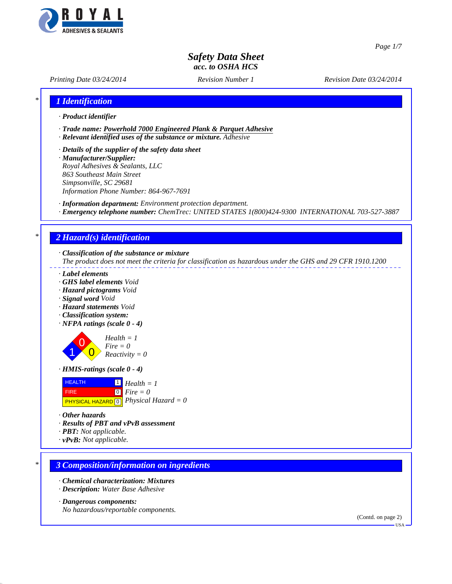

*Page 1/7*

### *Safety Data Sheet acc. to OSHA HCS*



*· Chemical characterization: Mixtures*

- *· Description: Water Base Adhesive*
- *· Dangerous components:*

*No hazardous/reportable components.*

(Contd. on page 2)

 $-<sup>T</sup>S<sub>A</sub>$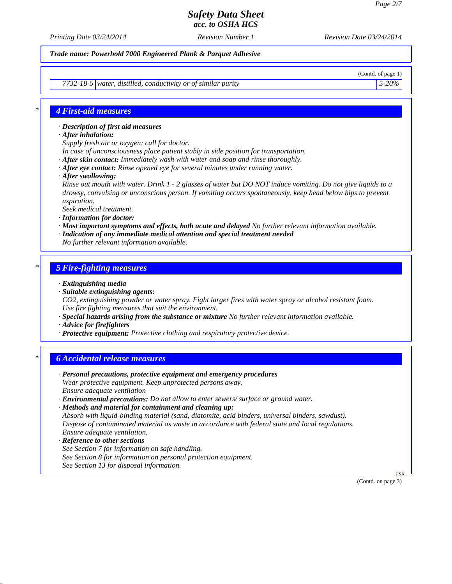*Printing Date 03/24/2014 Revision Number 1 Revision Date 03/24/2014*

*Trade name: Powerhold 7000 Engineered Plank & Parquet Adhesive*

(Contd. of page 1)

*7732-18-5 water, distilled, conductivity or of similar purity 5-20%*

#### *\* 4 First-aid measures*

*· Description of first aid measures*

- *· After inhalation:*
- *Supply fresh air or oxygen; call for doctor.*
- *In case of unconsciousness place patient stably in side position for transportation.*
- *· After skin contact: Immediately wash with water and soap and rinse thoroughly.*
- *· After eye contact: Rinse opened eye for several minutes under running water.*
- *· After swallowing:*

*Rinse out mouth with water. Drink 1 - 2 glasses of water but DO NOT induce vomiting. Do not give liquids to a drowsy, convulsing or unconscious person. If vomiting occurs spontaneously, keep head below hips to prevent aspiration.*

*Seek medical treatment.*

- *· Information for doctor:*
- *· Most important symptoms and effects, both acute and delayed No further relevant information available.*
- *· Indication of any immediate medical attention and special treatment needed*
- *No further relevant information available.*

### *\* 5 Fire-fighting measures*

- *· Extinguishing media*
- *· Suitable extinguishing agents:*
- *CO2, extinguishing powder or water spray. Fight larger fires with water spray or alcohol resistant foam. Use fire fighting measures that suit the environment.*
- *· Special hazards arising from the substance or mixture No further relevant information available.*
- *· Advice for firefighters*
- *· Protective equipment: Protective clothing and respiratory protective device.*

#### *\* 6 Accidental release measures*

- *· Personal precautions, protective equipment and emergency procedures Wear protective equipment. Keep unprotected persons away. Ensure adequate ventilation · Environmental precautions: Do not allow to enter sewers/ surface or ground water.*
- *· Methods and material for containment and cleaning up: Absorb with liquid-binding material (sand, diatomite, acid binders, universal binders, sawdust). Dispose of contaminated material as waste in accordance with federal state and local regulations.*
- *Ensure adequate ventilation.*
- *· Reference to other sections See Section 7 for information on safe handling. See Section 8 for information on personal protection equipment. See Section 13 for disposal information.*

(Contd. on page 3)

USA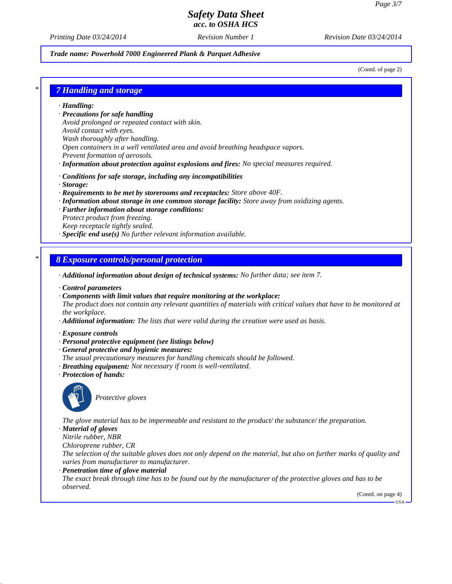*Printing Date 03/24/2014 Revision Number 1 Revision Date 03/24/2014*

#### *Trade name: Powerhold 7000 Engineered Plank & Parquet Adhesive*

(Contd. of page 2)

#### *\* 7 Handling and storage*

*· Handling:*

*· Precautions for safe handling*

*Avoid prolonged or repeated contact with skin. Avoid contact with eyes. Wash thoroughly after handling. Open containers in a well ventilated area and avoid breathing headspace vapors. Prevent formation of aerosols.*

- *· Information about protection against explosions and fires: No special measures required.*
- *· Conditions for safe storage, including any incompatibilities*
- *· Storage:*
- *· Requirements to be met by storerooms and receptacles: Store above 40F.*
- *· Information about storage in one common storage facility: Store away from oxidizing agents.*
- *· Further information about storage conditions: Protect product from freezing. Keep receptacle tightly sealed.*
- *· Specific end use(s) No further relevant information available.*

#### *\* 8 Exposure controls/personal protection*

*· Additional information about design of technical systems: No further data; see item 7.*

- *· Control parameters*
- *· Components with limit values that require monitoring at the workplace:*

*The product does not contain any relevant quantities of materials with critical values that have to be monitored at the workplace.*

- *· Additional information: The lists that were valid during the creation were used as basis.*
- *· Exposure controls*
- *· Personal protective equipment (see listings below)*
- *· General protective and hygienic measures:*
- *The usual precautionary measures for handling chemicals should be followed.*
- *· Breathing equipment: Not necessary if room is well-ventilated.*
- *· Protection of hands:*



**Protective gloves** 

*The glove material has to be impermeable and resistant to the product/ the substance/ the preparation.*

*· Material of gloves*

*Nitrile rubber, NBR*

*Chloroprene rubber, CR*

*The selection of the suitable gloves does not only depend on the material, but also on further marks of quality and varies from manufacturer to manufacturer.*

*· Penetration time of glove material*

*The exact break through time has to be found out by the manufacturer of the protective gloves and has to be observed.*

(Contd. on page 4)

USA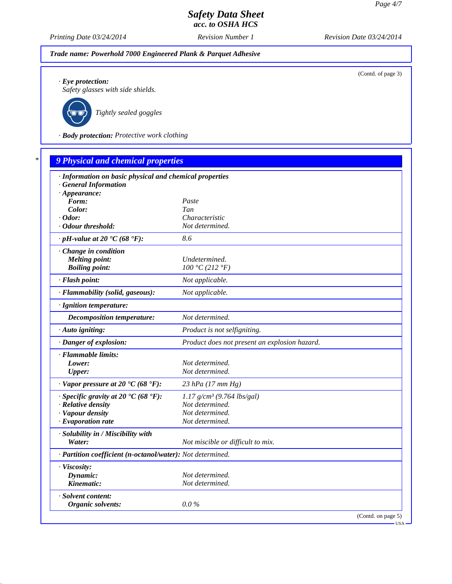*Printing Date 03/24/2014 Revision Number 1 Revision Date 03/24/2014*

*Trade name: Powerhold 7000 Engineered Plank & Parquet Adhesive*

(Contd. of page 3)

*· Eye protection: Safety glasses with side shields.*



`R*Tightly sealed goggles*

*· Body protection: Protective work clothing*

| Characteristic<br>Not determined.<br>Undetermined.<br>100 °C (212 °F)<br>Not applicable.<br>Not applicable.<br>Not determined.<br>Product is not selfigniting.<br>Product does not present an explosion hazard.<br>Not determined. |
|------------------------------------------------------------------------------------------------------------------------------------------------------------------------------------------------------------------------------------|
|                                                                                                                                                                                                                                    |
|                                                                                                                                                                                                                                    |
|                                                                                                                                                                                                                                    |
|                                                                                                                                                                                                                                    |
|                                                                                                                                                                                                                                    |
|                                                                                                                                                                                                                                    |
|                                                                                                                                                                                                                                    |
|                                                                                                                                                                                                                                    |
|                                                                                                                                                                                                                                    |
|                                                                                                                                                                                                                                    |
|                                                                                                                                                                                                                                    |
|                                                                                                                                                                                                                                    |
|                                                                                                                                                                                                                                    |
|                                                                                                                                                                                                                                    |
|                                                                                                                                                                                                                                    |
|                                                                                                                                                                                                                                    |
|                                                                                                                                                                                                                                    |
| Not determined.                                                                                                                                                                                                                    |
| 23 hPa (17 mm Hg)                                                                                                                                                                                                                  |
| $1.17$ g/cm <sup>3</sup> (9.764 lbs/gal)                                                                                                                                                                                           |
| Not determined.                                                                                                                                                                                                                    |
| Not determined.                                                                                                                                                                                                                    |
| Not determined.                                                                                                                                                                                                                    |
|                                                                                                                                                                                                                                    |
| Not miscible or difficult to mix.                                                                                                                                                                                                  |
| · Partition coefficient (n-octanol/water): Not determined.                                                                                                                                                                         |
|                                                                                                                                                                                                                                    |
| Not determined.                                                                                                                                                                                                                    |
| Not determined.                                                                                                                                                                                                                    |
|                                                                                                                                                                                                                                    |
|                                                                                                                                                                                                                                    |

USA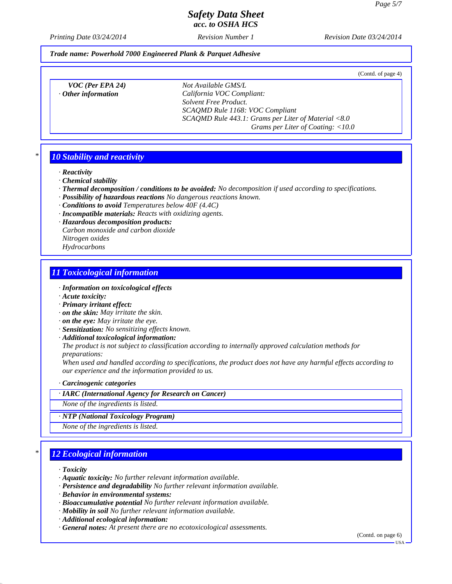*Printing Date 03/24/2014 Revision Number 1 Revision Date 03/24/2014*

*Trade name: Powerhold 7000 Engineered Plank & Parquet Adhesive*

(Contd. of page 4)

| VOC (Per EPA 24)          |  |
|---------------------------|--|
| $\cdot$ Other information |  |

 $Not \, Available \, GMS/L$ *· Other information California VOC Compliant: Solvent Free Product. SCAQMD Rule 1168: VOC Compliant SCAQMD Rule 443.1: Grams per Liter of Material <8.0 Grams per Liter of Coating: <10.0*

#### *\* 10 Stability and reactivity*

*· Reactivity*

*· Chemical stability*

- *· Thermal decomposition / conditions to be avoided: No decomposition if used according to specifications.*
- *· Possibility of hazardous reactions No dangerous reactions known.*
- *· Conditions to avoid Temperatures below 40F (4.4C)*
- *· Incompatible materials: Reacts with oxidizing agents.*
- *· Hazardous decomposition products: Carbon monoxide and carbon dioxide Nitrogen oxides*

*Hydrocarbons*

#### *11 Toxicological information*

*· Information on toxicological effects*

- *· Acute toxicity:*
- *· Primary irritant effect:*
- *· on the skin: May irritate the skin.*
- *· on the eye: May irritate the eye.*
- *· Sensitization: No sensitizing effects known.*
- *· Additional toxicological information:*

*The product is not subject to classification according to internally approved calculation methods for preparations:*

*When used and handled according to specifications, the product does not have any harmful effects according to our experience and the information provided to us.*

*· Carcinogenic categories*

*· IARC (International Agency for Research on Cancer)*

*None of the ingredients is listed.*

*· NTP (National Toxicology Program)*

*None of the ingredients is listed.*

#### *\* 12 Ecological information*

*· Toxicity*

- *· Aquatic toxicity: No further relevant information available.*
- *· Persistence and degradability No further relevant information available.*
- *· Behavior in environmental systems:*
- *· Bioaccumulative potential No further relevant information available.*
- *· Mobility in soil No further relevant information available.*
- *· Additional ecological information:*
- *· General notes: At present there are no ecotoxicological assessments.*

(Contd. on page 6)

 $-<sup>T</sup>S<sub>A</sub>$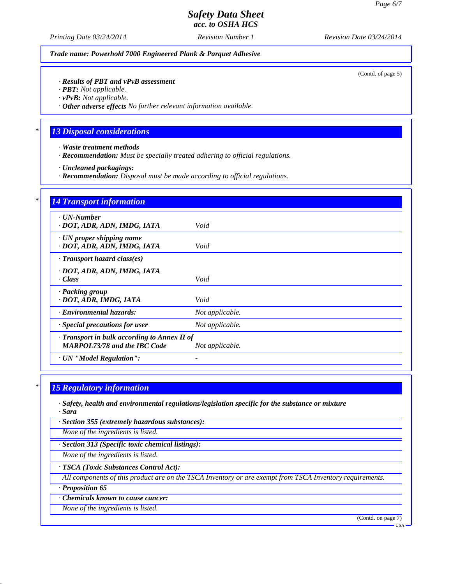*Printing Date 03/24/2014 Revision Number 1 Revision Date 03/24/2014*

*Trade name: Powerhold 7000 Engineered Plank & Parquet Adhesive*

(Contd. of page 5)

*· Results of PBT and vPvB assessment*

*· PBT: Not applicable.*

*· vPvB: Not applicable.*

*· Other adverse effects No further relevant information available.*

#### *\* 13 Disposal considerations*

- *· Waste treatment methods*
- *· Recommendation: Must be specially treated adhering to official regulations.*
- *· Uncleaned packagings:*
- *· Recommendation: Disposal must be made according to official regulations.*

| $\cdot$ UN-Number                            |                 |
|----------------------------------------------|-----------------|
| · DOT, ADR, ADN, IMDG, IATA                  | Void            |
| $\cdot$ UN proper shipping name              |                 |
| · DOT, ADR, ADN, IMDG, IATA                  | Void            |
| $\cdot$ Transport hazard class(es)           |                 |
| · DOT, ADR, ADN, IMDG, IATA                  |                 |
| · Class                                      | Void            |
| · Packing group                              |                 |
| · DOT, ADR, IMDG, IATA                       | Void            |
| · Environmental hazards:                     | Not applicable. |
| · Special precautions for user               | Not applicable. |
| · Transport in bulk according to Annex II of |                 |
| <b>MARPOL73/78 and the IBC Code</b>          | Not applicable. |

#### *\* 15 Regulatory information*

- *· Safety, health and environmental regulations/legislation specific for the substance or mixture · Sara*
- *· Section 355 (extremely hazardous substances):*

*None of the ingredients is listed.*

*· Section 313 (Specific toxic chemical listings):*

*None of the ingredients is listed.*

*· TSCA (Toxic Substances Control Act):*

*All components of this product are on the TSCA Inventory or are exempt from TSCA Inventory requirements.*

*· Proposition 65*

*· Chemicals known to cause cancer:*

*None of the ingredients is listed.*

(Contd. on page 7)

USA